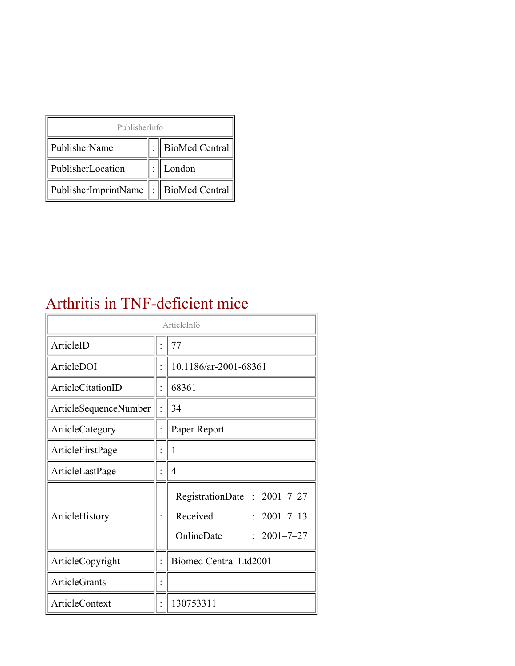| PublisherInfo                               |  |                    |  |  |
|---------------------------------------------|--|--------------------|--|--|
| PublisherName                               |  | :   BioMed Central |  |  |
| PublisherLocation                           |  | London             |  |  |
| PublisherImprintName    :    BioMed Central |  |                    |  |  |

#### Arthritis in TNF-deficient mice

| ArticleInfo              |  |                                                                                                  |  |
|--------------------------|--|--------------------------------------------------------------------------------------------------|--|
| ArticleID                |  | 77                                                                                               |  |
| ArticleDOI               |  | 10.1186/ar-2001-68361                                                                            |  |
| <b>ArticleCitationID</b> |  | 68361                                                                                            |  |
| ArticleSequenceNumber    |  | 34                                                                                               |  |
| ArticleCategory          |  | Paper Report                                                                                     |  |
| ArticleFirstPage         |  | 1                                                                                                |  |
| ArticleLastPage          |  | 4                                                                                                |  |
| ArticleHistory           |  | RegistrationDate : 2001-7-27<br>Received<br>$: 2001 - 7 - 13$<br>OnlineDate<br>$: 2001 - 7 - 27$ |  |
| ArticleCopyright         |  | <b>Biomed Central Ltd2001</b>                                                                    |  |
| <b>ArticleGrants</b>     |  |                                                                                                  |  |
| ArticleContext           |  | 130753311                                                                                        |  |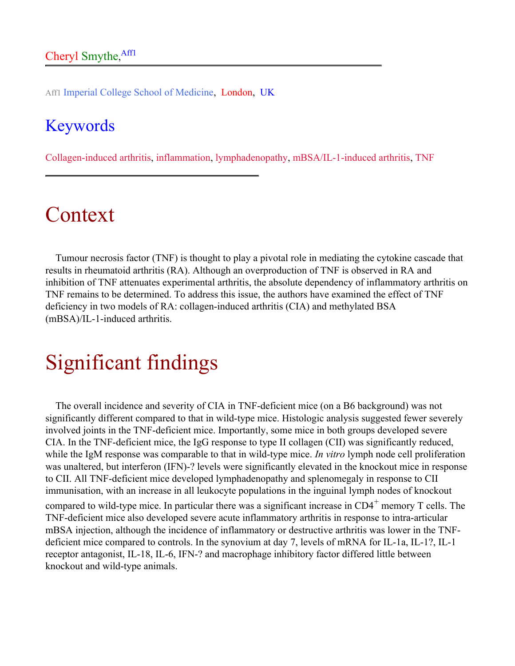Aff1 Imperial College School of Medicine, London, UK

#### Keywords

Collagen-induced arthritis, inflammation, lymphadenopathy, mBSA/IL-1-induced arthritis, TNF

#### Context

Tumour necrosis factor (TNF) is thought to play a pivotal role in mediating the cytokine cascade that results in rheumatoid arthritis (RA). Although an overproduction of TNF is observed in RA and inhibition of TNF attenuates experimental arthritis, the absolute dependency of inflammatory arthritis on TNF remains to be determined. To address this issue, the authors have examined the effect of TNF deficiency in two models of RA: collagen-induced arthritis (CIA) and methylated BSA (mBSA)/IL-1-induced arthritis.

## Significant findings

The overall incidence and severity of CIA in TNF-deficient mice (on a B6 background) was not significantly different compared to that in wild-type mice. Histologic analysis suggested fewer severely involved joints in the TNF-deficient mice. Importantly, some mice in both groups developed severe CIA. In the TNF-deficient mice, the IgG response to type II collagen (CII) was significantly reduced, while the IgM response was comparable to that in wild-type mice. *In vitro* lymph node cell proliferation was unaltered, but interferon (IFN)-? levels were significantly elevated in the knockout mice in response to CII. All TNF-deficient mice developed lymphadenopathy and splenomegaly in response to CII immunisation, with an increase in all leukocyte populations in the inguinal lymph nodes of knockout compared to wild-type mice. In particular there was a significant increase in  $CD4^+$  memory T cells. The TNF-deficient mice also developed severe acute inflammatory arthritis in response to intra-articular mBSA injection, although the incidence of inflammatory or destructive arthritis was lower in the TNFdeficient mice compared to controls. In the synovium at day 7, levels of mRNA for IL-1a, IL-1?, IL-1

receptor antagonist, IL-18, IL-6, IFN-? and macrophage inhibitory factor differed little between knockout and wild-type animals.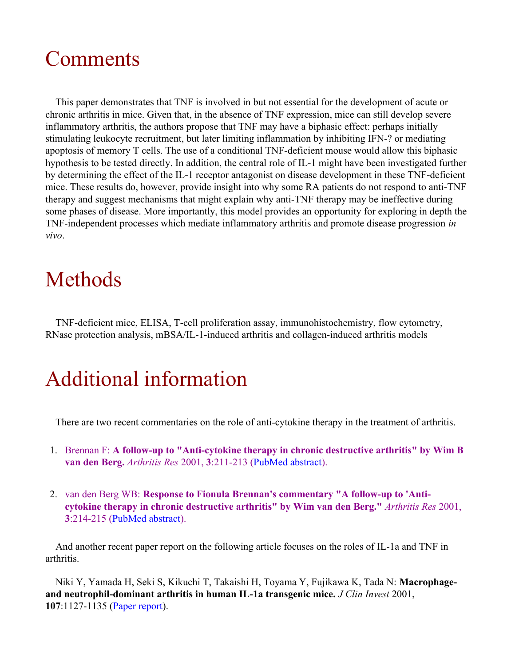## **Comments**

This paper demonstrates that TNF is involved in but not essential for the development of acute or chronic arthritis in mice. Given that, in the absence of TNF expression, mice can still develop severe inflammatory arthritis, the authors propose that TNF may have a biphasic effect: perhaps initially stimulating leukocyte recruitment, but later limiting inflammation by inhibiting IFN-? or mediating apoptosis of memory T cells. The use of a conditional TNF-deficient mouse would allow this biphasic hypothesis to be tested directly. In addition, the central role of IL-1 might have been investigated further by determining the effect of the IL-1 receptor antagonist on disease development in these TNF-deficient mice. These results do, however, provide insight into why some RA patients do not respond to anti-TNF therapy and suggest mechanisms that might explain why anti-TNF therapy may be ineffective during some phases of disease. More importantly, this model provides an opportunity for exploring in depth the TNF-independent processes which mediate inflammatory arthritis and promote disease progression *in vivo*.

# Methods

TNF-deficient mice, ELISA, T-cell proliferation assay, immunohistochemistry, flow cytometry, RNase protection analysis, mBSA/IL-1-induced arthritis and collagen-induced arthritis models

# Additional information

There are two recent commentaries on the role of anti-cytokine therapy in the treatment of arthritis.

- 1. Brennan F: **A follow-up to "Anti-cytokine therapy in chronic destructive arthritis" by Wim B van den Berg.** *Arthritis Res* 2001, **3**:211-213 ([PubMed abstract\)](http://www.ncbi.nlm.nih.gov/entrez/query.fcgi?cmd=Retrieve&db=PubMed&list_uids=11438037&dopt=Abstract).
- 2. van den Berg WB: **Response to Fionula Brennan's commentary "A follow-up to 'Anticytokine therapy in chronic destructive arthritis" by Wim van den Berg."** *Arthritis Res* 2001, **3**:214-215 ([PubMed abstract\)](http://www.ncbi.nlm.nih.gov/entrez/query.fcgi?cmd=Retrieve&db=PubMed&list_uids=11438038&dopt=Abstract).

And another recent paper report on the following article focuses on the roles of IL-1a and TNF in arthritis.

Niki Y, Yamada H, Seki S, Kikuchi T, Takaishi H, Toyama Y, Fujikawa K, Tada N: **Macrophageand neutrophil-dominant arthritis in human IL-1a transgenic mice.** *J Clin Invest* 2001, **107**:1127-1135 [\(Paper report](http://arthritis-research.com/paperreport/ar-2001-70102)).